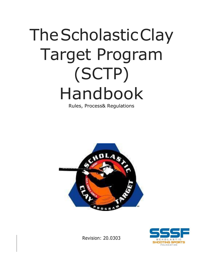# TheScholasticClay Target Program (SCTP) Handbook

Rules, Process& Regulations





Revision: 20.0303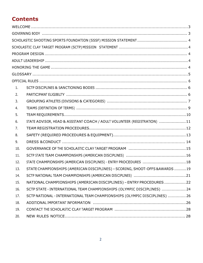# **Contents**

| 1.  |                                                                              |
|-----|------------------------------------------------------------------------------|
| 2.  |                                                                              |
| 3.  |                                                                              |
| 4.  |                                                                              |
| 5.  |                                                                              |
| 6.  | STATE ADVISOR, HEAD & ASSISTANT COACH / ADULT VOLUNTEER (REGISTRATION) 11    |
| 7.  |                                                                              |
| 8.  |                                                                              |
| 9.  |                                                                              |
| 10. |                                                                              |
| 11. |                                                                              |
| 12. | STATE CHAMPIONSHIPS (AMERICAN DISCIPLINES) - ENTRY PROCEDURES 18             |
| 13. | STATE CHAMPIONSHIPS (AMERICAN DISCIPLINES) - SCORING, SHOOT-OFFS & AWARDS 19 |
| 14. |                                                                              |
| 15. | NATIONAL CHAMPIONSHIPS (AMERICAN DISCIPLINES) - ENTRY PROCEDURES22           |
| 16. | SCTP STATE - INTERNATIONAL TEAM CHAMPIONSHIPS (OLYMPIC DISCIPLINES)  24      |
| 17. | SCTP NATIONAL - INTERNATIONAL TEAM CHAMPIONSHIPS (OLYMPIC DISCIPLINES)  26   |
| 18. |                                                                              |
| 19. |                                                                              |
| 20. |                                                                              |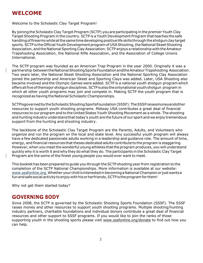# <span id="page-2-0"></span>**WELCOME**

Welcome to the Scholastic Clay Target Program!

By joining the Scholastic Clay Target Program (SCTP) you are participating in the premier Youth Clay Target Shooting Program in the country. SCTP is a Youth Development Program thatteaches the safe handling of firearms while at the same time developing positive life skills through the shotgun clay target sports. SCTP is the Official Youth Development program of USA Shooting, the National Skeet Shooting Association, and the National Sporting Clay Association. SCTP enjoys a relationship with the Amateur Trapshooting Association, the National Rifle Association, and the Association of College Unions International.

The SCTP program was founded as an American Trap Program in the year 2000. Originally it was a partnership between the National Shooting Sports Foundation and the Amateur Trapshooting Association. Two years later, the National Skeet Shooting Association and the National Sporting Clay Association joined the partnership and American Skeet and Sporting Clays was added. Later, USA Shooting also became involved and the Olympic Games were added. SCTP is a national youth shotgun programwhich offers all five of themajor shotgun disciplines. SCTP is also the onlynational youth shotgun program in which all other youth programs may join and compete in. Making SCTP the youth program that is recognizedas having the National Scholastic Championships.

SCTPisgovernedbytheScholasticShootingSportsFoundation(SSSF).TheSSSFraisesmoneyandother resources to support youth shooting programs. Midway USA contributes a great deal of financial resources to our program and to the United States Youth Shooting Movement as a whole. The shooting and hunting industry understand that today's youth are the future of our sport and we enjoy tremendous support from the hunting and shooting industry.

The backbone of the Scholastic Clay Target Program are the Parents, Adults, and Volunteers who organize and run the program on the local and state level. Any successful youth program will always have a few dedicated passionate adults working in a leadership and guidance role. The amount of time, energy, and financial resources that theses dedicated adults contributeto the program is staggering. However, when you meet the wonderful young athletes thattheprogram produces, you will understand quickly why it is worth it and why they do what they do. The participants in the Scholastic Clay Target Program are the some of the finest young people you would ever want to meet.

This booklet has been prepared to guide you through the SCTP shooting year from registration to the completion of the SCTP National Championships. More information is available at our website: www.sssfonline.org. Whether your child is interested in becoming a National Champion or just wants a fun and safe social activity to enjoy with his or herfriends, SCTP is the program for them!

Why not get them started today?

# <span id="page-2-1"></span>**GOVERNING BODY**

Since 2008, the SCTP is governed by the Scholastic Shooting Sports Foundation (SSSF). The SSSF raises money and other resources to support youth shooting programs. Multiple shooting/hunting industry partners, charitable foundations and individual donors contribute a great deal of financial resources and other support to SSSF programs. If you would like to join the ranks of those supporting youth in the shooting sports please visit [www.sssfonline.org/donate](http://www.sssfonline.org/donate) to find out how you can help.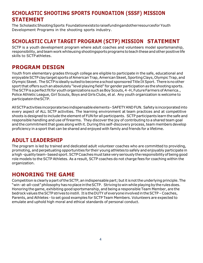# <span id="page-3-0"></span>**SCHOLASTIC SHOOTING SPORTS FOUNDATION (SSSF) MISSION STATEMENT**

The ScholasticShootingSports Foundationexiststoraisefundingandotherresourcesfor Youth Development Programs in the shooting sports industry.

# <span id="page-3-1"></span>**SCHOLASTIC CLAY TARGET PROGRAM (SCTP) MISSION STATEMENT**

SCTP is a youth development program where adult coaches and volunteers model sportsmanship, responsibility, and team work whileusing shootingsports programs to teach these and other positive life skills to SCTPathletes.

# <span id="page-3-2"></span>**PROGRAM DESIGN**

Youth from elementary grades through college are eligible to participate in the safe, educational and enjoyable SCTP clay target sports of American Trap, American Skeet, Sporting Clays, Olympic Trap, and Olympic Skeet. The SCTP is ideally suited to become a school sponsored Title IX Sport. There is no other sport that offers such an absolutely "level playing field" for gender participation as the shooting sports. The SCTP is a perfect fit for youth organizations such as Boy Scouts, 4 -H, Future Farmers of America., Police Athletic League, Girl Scouts, Boys and GirlsClubs, et al. Any youth organization is welcome to participateintheSCTP.

AllSCTPactivitiesincorporatetwoindispensableelements–SAFETYANDFUN. Safetyisincorporatedinto every aspect of ALL SCTP activities. The learning environment at team practices and at competitive shoots is designed to include the element of FUN for all participants. SCTP participants learn the safe and responsible handling and use of firearms. They discover the joy of contributing to a shared team goal and the commitment that goes along with it. During this self-discovery process, team members develop proficiency in a sport that can be shared and enjoyed with family and friends for a lifetime.

# <span id="page-3-3"></span>**ADULT LEADERSHIP**

The program is led by trained and dedicated adult volunteer coaches who are committed to providing, promoting, and perpetuating opportunities for their young athletes to safely and enjoyably participate in a high-quality team-based sport. SCTP Coaches must take very seriously the responsibility of being good role models to the SCTP Athletes. As a result, SCTP coaches do not charge fees for coaching within the organization.

# <span id="page-3-4"></span>**HONORING THE GAME**

Competition is clearly a part of the SCTP, an indispensable part; but it is not the underlying principle. The "win-at-all-cost" philosophy has no place in the SCTP. Striving to win while playing by the rules does. Honoring the game, exhibiting good sportsmanship, and being a responsible Team Member, are the bedrock values the SCTP strives to instill. It is the DUTY of everyone involved in the SCTP - Coaches, Parents, and Athletes - to set good examples for SCTP Team Members. Volunteers are expected to emulate and uphold high moral and ethical standards of personal conduct.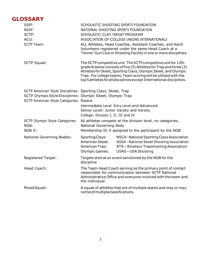# <span id="page-4-0"></span>**GLOSSARY**

| SSSF:<br>NSSF:<br>SCTP:<br>ACUI:<br><b>SCTP Team:</b>                                                                                                                 | SCHOLASTIC CLAY TARGET PROGRAM                                                                                                                                                                                                                                                                                                                   | SCHOLASTIC SHOOTING SPORTS FOUNDATION<br>NATIONAL SHOOTING SPORTS FOUNDATION<br>ASSOCIATION OF COLLEGE UNIONS INTERNATIONALS<br>ALL Athletes, Head Coaches, Assistant Coaches, and Adult<br>Volunteers registered under the same Head Coach at a<br>"Home" Gun Club or Shooting Facility in one or more disciplines. |  |
|-----------------------------------------------------------------------------------------------------------------------------------------------------------------------|--------------------------------------------------------------------------------------------------------------------------------------------------------------------------------------------------------------------------------------------------------------------------------------------------------------------------------------------------|----------------------------------------------------------------------------------------------------------------------------------------------------------------------------------------------------------------------------------------------------------------------------------------------------------------------|--|
| <b>SCTP Squad:</b>                                                                                                                                                    | The SCTP competitive unit. The SCTP competitive unit for 12th<br>grade & below consists of five (5) Athletes for Trap and three (3)<br>Athletes for Skeet, Sporting Clays, Olympic Skeet, and Olympic<br>Trap. For college teams, Team scoring will be utilized with the<br>top 5 athletes for all disciplines except International disciplines. |                                                                                                                                                                                                                                                                                                                      |  |
| SCTP American Style Disciplines: Sporting Clays, Skeet, Trap<br>SCTP Olympic Style Disciplines: Olympic Skeet, Olympic Trap<br>SCTP American Style Categories: Rookie | Intermediate Level: Entry Level and Advanced<br>Senior Level: Junior Varsity and Varsity<br>College: Division I, II, III and IV                                                                                                                                                                                                                  |                                                                                                                                                                                                                                                                                                                      |  |
| <b>SCTP Olympic Style Categories:</b><br>NGB:<br>NGB #:                                                                                                               | National Governing Body                                                                                                                                                                                                                                                                                                                          | All athletes compete at the division level, no categories.<br>Membership ID # assigned to the participant by the NGB                                                                                                                                                                                                 |  |
| <b>National Governing Bodies:</b>                                                                                                                                     | Sporting Clays:<br>American Skeet:<br>American Trap:<br><b>Olympic Games:</b>                                                                                                                                                                                                                                                                    | NSCA - National Sporting Clays Association<br>NSSA - National Skeet Shooting Association<br>ATA - Amateur Trapshooting Association<br><b>USAS-USA Shooting</b>                                                                                                                                                       |  |
| <b>Registered Target:</b>                                                                                                                                             | discipline                                                                                                                                                                                                                                                                                                                                       | Targets shot at an event sanctioned by the NGB for the                                                                                                                                                                                                                                                               |  |
| Head Coach:                                                                                                                                                           | The Team Head Coach serving as the primary point of contact<br>responsible for communication between SCTP National<br>Administrative Office and everyone involved with the team and<br>the individual.                                                                                                                                           |                                                                                                                                                                                                                                                                                                                      |  |
| Mixed Squad:                                                                                                                                                          | A squad of athletes that are of multiple teams and may or may<br>not be of multipleclassifications.                                                                                                                                                                                                                                              |                                                                                                                                                                                                                                                                                                                      |  |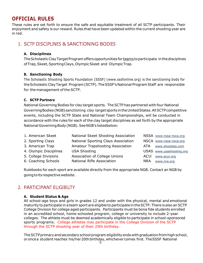# <span id="page-5-0"></span>**OFFICIAL RULES**

These rules are set forth to ensure the safe and equitable treatment of all SCTP participants. Their enjoyment and safety is our reward. Rules that have been updated within the current shooting year are in red.

## <span id="page-5-1"></span>1. SCTP DISCIPLINES & SANCTIONING BODIES

#### **A. Disciplines**

The Scholastic Clay Target Program offers opportunities for teams to participate in the disciplines of Trap, Skeet, Sporting Clays, Olympic Skeet and Olympic Trap.

#### **B. Sanctioning Body**

The Scholastic Shooting Sports Foundation (SSSF) (www.sssfonline.org) is the sanctioning body for the Scholastic Clay Target Program (SCTP). The SSSF's National Program Staff are responsible for the management of the SCTP.

#### **C. SCTP Partners**

National Governing Bodies for clay target sports. The SCTP has partnered with four National Governing Bodies (NGB) sanctioning clay target sports in the United States. All SCTP competitive events, including the SCTP State and National Team Championships, will be conducted in accordance with the rules for each of the clay target disciplines as set forth by the appropriate National Governing Body (NGB). See NGB's listedbelow:

| 1. American Skeet      | National Skeet Shooting Association |             | NSSA www.nssa-nsca.org   |
|------------------------|-------------------------------------|-------------|--------------------------|
| 2. Sporting Clays      | National Sporting Clays Association |             | NSCA www.nssa-nsca.org   |
| 3. American Trap       | Amateur Trapshooting Association    | ATA         | www.shootata.com         |
| 4. Olympic Disciplines | <b>USA Shooting</b>                 |             | USAS www.usashooting.org |
| 5. College Divisions   | Association of College Unions       | <b>ACUI</b> | www.acui.org             |
| 6. Coaching Schools    | <b>National Rifle Association</b>   | <b>NRA</b>  | www.nra.org              |

Rulebooks for each sport are available directly from the appropriate NGB. Contact an NGB by going to its respective website.

# <span id="page-5-2"></span>2. PARTICIPANT ELIGIBILITY

#### **A. Student Status & Age**

All school-age boys and girls in grades 12 and under with the physical, mental and emotional maturity to participate in a team sport are eligible to participate in the SCTP. There is also an SCTP College Division for college aged participants. Participants must be bona fide students enrolled in an accredited school, home-schooled program, college or university to include 2-year colleges. The athlete must be deemed academically eligible to participate in school-sponsored sports programs. College athletes may participate in the College Division of the SCTP through the SCTP shooting year of their 25th birthday.

The SCTP primary and secondary school program eligibility ends with graduation from high school, oroncea student reaches his/her20th birthday, whichever comes first. The SSSF National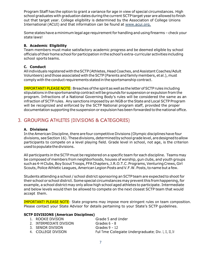Program Staff has the option to grant a variance for age in view of special circumstances. High school graduates with graduation dates during the current SCTP target year are allowed to finish out that target year. College eligibility is determined by the Association of College Unions International (ACUI) and that information can be found at [www.acui.org.](http://www.acui.org/)

Some states have a minimum legal age requirement for handling and using firearms - check your state laws!

#### **B. Academic Eligibility**

Team members must make satisfactory academic progress and be deemed eligible by school officials of their home school for participation in the school's extra-curricular activities including school sports teams.

#### **C. Conduct**

All individuals registered with the SCTP (Athletes, Head Coaches, and Assistant Coaches/Adult Volunteers) and those associated with the SCTP (Parents and family members, et al.), must comply with the conduct requirements statedin the sportsmanship contract.

IMPORTANT! PLEASE NOTE: Breaches of the spirit as well as the letter of SCTP rules including stipulations inthe sportsmanship contract will begrounds for suspension or expulsion from the program. Infractions of a National Governing Body's rules will be considered the same as an infraction of SCTP rules. Any sanctions imposed by an NGB or the State and Local SCTP Program will be recognized and enforced by the SCTP National program staff, provided the proper documentation supporting the suspension or expulsionhas been forwarded to thenational office.

# <span id="page-6-0"></span>3. GROUPING ATHLETES (DIVISIONS & CATEGORIES)

#### **A. Divisions**

In the American Discipline, there are four competitive Divisions (Olympic disciplines have four divisions, see Section 16). These divisions, determined by school grade level, are designed to allow participants to compete on a level playing field. Grade level in school, not age, is the criterion used to populate the divisions.

All participants in the SCTP must be registered on a specific team for each discipline. Teams may be composed of members from neighborhoods, houses of worship, gun clubs, and youth groups such as 4-H Clubs, Boy Scout Troops, FFA Chapters, J.R.O.T.C. Programs, Venturing Crews, Girl Scouts, Police Athletic Leagues, American Legion Posts and V.F.W. Posts, to name but a few.

Students attending a school / school district sponsoring an SCTP team are expected to shoot for their school or school district. Some special circumstances may prevent this from happening, for example, a school district may only allow high school aged athletes to participate. Intermediate and below levels would then be allowed to compete on the next closest SCTP team that would accept them.

IMPORTANT! PLEASE NOTE: State programs may impose more stringent rules on team composition. Please contact your State Advisor for details pertaining to your State's SCTP guidelines.

#### **SCTP DIVISIONS (American Disciplines)**

| 1. ROOKIE DIVISION       | Grade 5 and Under                                       |
|--------------------------|---------------------------------------------------------|
| 2. INTERMEDIATE DIVISION | Grades 6 – 8                                            |
| 3. SENIOR DIVISION       | Grades $9 - 12$                                         |
| 4. COLLEGE DIVISION      | Full Time Collegiate Undergraduate; Div. I, II, III, IV |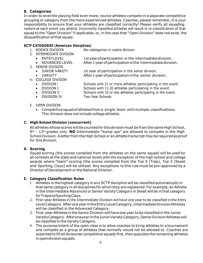#### **B. Categories**

In order to level the playing field even more, novice athletes compete in a separate competitive grouping or category from the more experienced athletes. Coaches, please remember, itis your responsibility to ensure that your athletes are classified correctly! Please verify all squading rosters at each event you attend. Incorrectly classified athletes will result in re-classification of that squad to the "Open Division" if applicable, or, in the case that "Open Division" does not exist, the disqualification ofthat squad.

#### **SCTP CATEGORIES (American Disciplines)**

- 
- 1. ROOKIE DIVISION No categories in rookie division.
- 2. INTERMEDIATE DIVISION
	- ENTRYLEVEL 1styear of participation in the intermediate division. • ADVANCED LEVEL After 1 year of participation in the intermediate division.
- 3. SENIOR DIVISION
	- JUNIOR VARSITY 1st year of participation in the senior division.
	- VARSITY **After 1 year of participation in the senior division.**
- 4. COLLEGE DIVISION
	-
	- DIVISION <sup>I</sup> Schools with 21 or more athletes participating in the event.
	- DIVISION II Schools with 11-20 athletes participating in the event.
	- DIVISION III Schools with 10 or less athletes participating in the event.
	- DIVISION IV Two Year Schools
- 5. OPEN DIVISION
	- Competitivesquadofathletesfroma single team withmultiple classifications. This division does not include college athletes.

#### **C. High School Division (concurrent)**

All athletes whose scores will becounted for this division must be from the same High School, 9th – 12th grades only. **NO** Intermediate "bump ups" are allowed to compete in the High School Division. A letter from the High School or an athlete transcript may be required as proof for this division.

#### **D. Scoring**

Squad scoring (the scores compiled from the athletes on the same squad) will be used for all contests atthe state and national levels with the exception of the high school and college awards where "team" scoring (the scores compiled from the Top 5 (Trap), Top 3 (Skeet and Sporting Clays) will be utilized. Any exceptions to this rule must be pre-approved by a Director of Development or the National Director.

#### **E. Category Classification Rules**

- 1. Athletes in the highest category in any SCTP discipline will be classified automatically in that same category in all disciplines for which they are registered. For example, an Athlete in the Intermediate Advanced or Senior VarsityCategory in Skeet will be in that category forTrapandSportingClays.
- 2. First-year Athletes in the Intermediate Division will have one year to be classified in the Entry Level Category. After one year in the Entry Level Category, Intermediate Division Athletes will be classified in the Advanced Category.
- 3. First-year Athletes in theSenior Division will haveone year tobe classified in the Junior VarsityCategory. Afteroneyear intheJuniorVarsityCategory,SeniorDivisionAthleteswill be classified in the Varsity Category.
- 4. The purpose/intent of the open class is to allow coaches to bring athletes to a tournament and compete as a group of athletes that normally would not be allowed to. Coaches are expected to fill all divisional competitive squads first, then populate the remaining athletes inopendivisionsquads.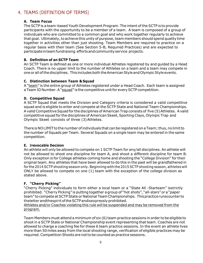# <span id="page-8-0"></span>4. TEAMS (DEFINITION OF TERMS)

#### **A. Team Focus**

The SCTP is a team-based Youth Development Program. The intent of the SCTP is to provide participants with the opportunity to be a member of a team. A team is composed of a group of individuals who are committed to a common goal and who work together regularly to achieve that goal. Ultimately, to achieve this unity of purpose, team members should spend quality time together in activities other than just shooting. Team Members are required to practice on a regular basis with their team (See Section 5-B, Required Practices) and are expected to participate in team fundraising efforts and community service projects.

#### **B. Definition of an SCTP Team**

An SCTP Team is defined as one or more individual Athletes registered by and guided by a Head Coach. There is no upper limit to the number of Athletes on a team and a team may compete in one or all of the disciplines. This includes both the American Style and Olympic Style events.

#### **C. Distinction between Team & Squad**

A "team" is the entire group of Athletes registered under a Head Coach. Each team is assigned a Team ID Number. A "squad" is the competitive unit for every SCTP competition.

#### **D. Competitive Squad**

A SCTP Squad that meets the Division and Category criteria is considered a valid competitive squad and is eligible to enter and compete at the SCTP State and National Team Championships. A valid Competitive Squad for the disciplines of American Trap consists of five (5) Athletes. A valid competitive squad for the disciplines of American Skeet, Sporting Clays, Olympic Trap and Olympic Skeet consists of three (3)Athletes.

There is NO LIMIT to the number of individuals that can be registered on a Team; thus, no limit to the number of Squads per Team. Several Squads on a single team may be entered in the same competition.

#### **E. Irrevocable Decision**

An athlete will only be allowed to compete on 1 SCTP Team for any/all disciplines. An athlete will not be allowed to shoot one discipline for team A, and shoot a different discipline for team B. Only exception is for College athletes coming home and shooting the "College Division" for their original team. Any athletes that have been allowed to do this in the past will be grandfathered in for the 2014 SCTP shooting season only. Beginning with the 2015 SCTP shooting season, athletes will ONLY be allowed to compete on one (1) team with the exception of the college division as stated above.

#### **F. "Cherry Picking"**

"Cherry Picking" individuals to form either a local team or a "State All -Starteam" isstrictly prohibited. "Cherry Picking" is putting together a group of "hot shots", "all-stars" or a "paper team" to compete at SCTP State or National TeamChampionships. Thispracticerunscounter to theletter andthespirit of the SCTP andisexpressly prohibited.

Athletes and/or Coaches violating this rule will be suspended and may be removed from the program.

Team Members must attend a minimum of six (6) team practice sessions in order tobe eligible to shoot in a SCTP State or National Championship event representing that team. Coaches are not allowed to charge a coaching fee for these 6 team practice sessions. In the event an athlete lives more than 50 miles away from the local shooting range, verification of eligible practices may be required. Competition Shoots are not to be counted as practice sessions.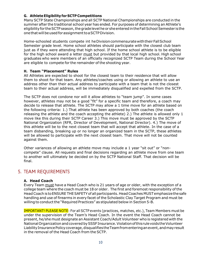#### **G. AthleteEligibilityfor SCTP Competitions**

Many SCTP State Championships and all SCTP National Championships are conducted in the summer after the traditional school year has ended. For purposes of determining an Athlete's eligibility for the SCTP season, the grade level he or she entered in the Fall School Semester is the one that will be used for assignment to a SCTP Division.

Home-schooled students compete int heDivisioncommensuratewiththeirFallSchool Semester grade level. Home school athletes should participate with the closest club team just as if they were attending that high school. If the home school athlete is to be eligible for the high school award a letter must but provided by that local high school. High school graduates who were members of an officially recognized SCTP Team during the School Year are eligible to compete for the remainder of the shooting year.

#### **H. Team "Placement" Rules**

All Athletes are expected to shoot for the closest team to their residence that will allow them to shoot for that team. Any athletes/coaches using or allowing an athlete to use an address other than their actual address to participate with a team that is not the closest team to their actual address, will be immediately disqualified and expelled from the SCTP.

The SCTP does not condone nor will it allow athletes to "team jump". In some cases however, athletes may not be a good "fit" for a specific team and therefore, a coach may decide to release that athlete. The SCTP may allow a 1 time move for an athlete based on the following criteria: 1.) That athlete has been approved by both coaches (the coach releasing the athlete and the coach accepting the athlete) 2.) The athlete is allowed only 1 move like this during their SCTP Career 3.) This move must be approved by the SCTP National Organization (RFR, Director of Development, National Director). 4.) The move of this athlete will be to the next closest team that will accept that athlete. In the case of a team disbanding, breaking up or no longer an organized team in the SCTP, these athletes will be allowed to participate with the next closest team. That move will not be counted against them.

Other variances of allowing an athlete move may include a 1 year "sit out" or "noncompete" clause. All requests and final decisions regarding an athlete move from one team to another will ultimately be decided on by the SCTP National Staff. That decision will be final.

### <span id="page-9-0"></span>5. TEAM REQUIREMENTS

#### **A. Head Coach**

Every Team must have a Head Coach who is 21 years of age or older, with the exception of a college team where the coach must be 18 or older. The first and foremost responsibility of the HeadCoach is toENSURE THESAFETY of all participants. HeadCoaches MUSTemphasizethesafe handling and use of firearms in every facet of the Scholastic Clay Target Program and must be willing to conduct the "Required Practices" as stipulated below in Section 5-B.

IMPORTANT! PLEASE NOTE: For all SCTP events (practices, matches, etc.), Team Members must be under the supervision of the Team's Head Coach. In the event the Head Coach cannot be present, he/she must designate an Assistant Coach/Adult Volunteer who is registered with the NationalOrganization andcoveredbySSSFInsurance.ViolationofthisrulevoidstheVolunteer Liability Insurance Policy coverage, disqualifies the Team from entering an event, and may result in the removal of the Head Coach from the SCTP.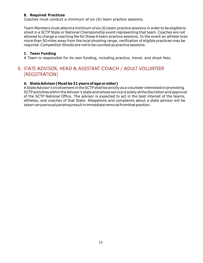#### **B. Required Practices**

Coaches must conduct a minimum of six (6) team practice sessions.

Team Members must attend aminimum of six (6) team practice sessions in order to be eligible to shoot in a SCTP State or National Championship event representing that team. Coaches are not allowed to charge a coaching fee for these 6 team practice sessions. In the event an athlete lives more than 50 miles away from the local shooting range, verification of eligible practices may be required. Competition Shoots are not to be counted as practice sessions.

#### **C. Team Funding**

A Team is responsible for its own funding, including practice, travel, and shoot fees.

## <span id="page-10-0"></span>6. STATE ADVISOR, HEAD & ASSISTANT COACH / ADULT VOLUNTEER (REGISTRATION)

#### **A. StateAdvisor(Mustbe21yearsofageorolder)**

AStateAdvisor's involvementintheSCTP shall bestrictlyas avolunteer interested in promoting SCTP activities within the Advisor's state and whose service is solely at the discretion and approval of the SCTP National Office. The advisor is expected to act in the best interest of the teams, athletes, and coaches of that State. Allegations and complaints about a state advisor will be taken veryseriouslyandmayresult in immediate removal from that position.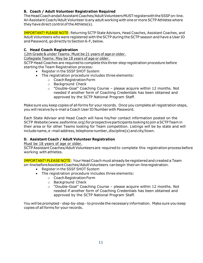#### **B. Coach / Adult Volunteer Registration Required**

TheHeadCoachandallAssistantCoaches/AdultVolunteersMUSTregisterwiththeSSSFon-line. An Assistant Coach/Adult Volunteer isany adult working with one ormore SCTPAthletes where they have direct control of the Athlete $(s)$ .

IMPORTANT! PLEASE NOTE: Returning SCTP State Advisors, Head Coaches, Assistant Coaches, and Adult Volunteers who were registered with theSCTP during theSCTP season and have a User ID and Password, go directly to Section 6-F, below.

#### **C. Head Coach Registration**

12th Grade & under Teams: Must be 21 years of age or older.

Collegiate Teams: May be 18 years of age or older.

SCTP Head Coaches are required to complete this three-step registration procedure before starting the Team Registration process:

- Register in the SSSF SHOT System
- The registration procedure includes three elements:
	- o CoachRegistrationForm
	- o Background Check
	- o "Double-Goal" Coaching Course please acquire within 12 months. Not needed if another form of Coaching Credentials has been obtained and approved by the SCTP National Program Staff.

Make sure you keep copies of all forms for your records. Once you complete all registration steps, you will receive by e-mail aCoach User ID Number with Password.

Each State Advisor and Head Coach will have his/her contact information posted on the SCTP Website(www.sssfonline.org) forprospectiveparticipants lookingtojoin aSCTPTeam in their area or for other Teams looking for Team competition. Listings will be by state and will includename, e-mail address, telephone number, discipline(s) and city/town.

#### **D. Assistant Coach / Adult Volunteer Registration**

Must be 18 years of age or older.

SCTP Assistant Coaches/Adult Volunteers are required to complete this registration process before working with athletes.

IMPORTANT! PLEASE NOTE: Your Head Coach must already be registered and created a Team on-linebeforeAssistantCoaches/AdultVolunteers canbegin theiron-lineregistration.

- Register in the SSSF SHOT System
- The registration procedure includes three elements:
	- o CoachRegistrationForm
	- o Background Check
	- o "Double-Goal" Coaching Course please acquire within 12 months. Not needed if another form of Coaching Credentials has been obtained and approved by the SCTP National Program Staff.

You will be prompted - step-by-step - to provide the necessary information. Make sure you keep copies of all forms for your records.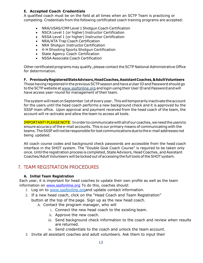#### **E. Accepted Coach Credentials**

A qualified coach must be on the field at all times when an SCTP Team is practicing or competing. Credentials from the following certificated coach training programs are accepted:

- NRA/USAS/CMP Level 1Shotgun Coach Certification
- NSCA Level 1 (or higher) Instructor Certification
- NSSA Level 1 (or higher) Instructor Certification
- NRA/ATA Trap Coach Certification
- NRA Shotgun Instructor Certification
- 4-H Shooting Sports Shotgun Certification
- State Agency Coach Certification
- NSSA Associate Coach Certification

Other certificated programs may qualify, please contact the SCTP National Administrative Office for determination.

**F. PreviouslyRegisteredStateAdvisors,HeadCoaches,AssistantCoaches,&AdultVolunteers**  Those having registered in the previous SCTP season and have a User ID and Password should go to the SCTP website at [www.sssfonline.org](http://www.sssfonline.organd/) and login using their User ID and Password and will have access year-round for management of their team.

The system will reset on September 1st of every year. This will temporarily inactivate the account for the users until the head coach performs a new background check and it is approved by the SSSF main office. Upon approval and payment received from the head coach of the team, the account will re-activate and allow the team to access all tools.

IMPORTANT!PLEASENOTE: Inorder tocommunicatewithallofourcoaches, weneedtheusersto ensure accuracy of the e-mail accounts. This is our primary means of communicating with the teams. The SSSF will not be responsible for lost communications due to the e-mail addresses not being updated.

All coach course codes and background check passwords are accessible from the head coach interface in the SHOT system. The "Double Goal Coach Course" is required to be taken only once. Until the registration process is completed, State Advisors, Head Coaches, and Assistant Coaches/Adult Volunteers will be locked out of accessing the full tools of the SHOT system.

## <span id="page-12-0"></span>7. TEAM REGISTRATION PROCEDURES

#### **A. Initial Team Registration**

Each year, it is important for head coaches to update their own profile as well as the team information on [www.sssfonline.org](http://www.sssfonline.org/) To do this, coaches should:

- 1. Log on to [www.sssfonline.orga](http://www.tnsctponline.org/)nd update contact information.
- 2. If a new head coach, click on the "Head Coach and Team Registration" button at the top of the page. Sign up as the new head coach.
	- A. Contact the program manager, who will
		- i. Connect the new head coach to the existing team.
		- ii. Approve the new coach.
		- iii. Send background check information to the coach and review when results are returned.
		- iv. Send credentials to the coach and unlock the team account.
- 3. Invite all assistant coaches and adult volunteers. Ask them to input their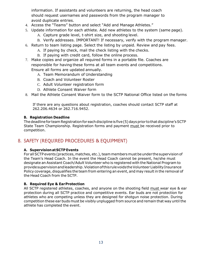information. If assistants and volunteers are returning, the head coach should request usernames and passwords from the program manager to avoid duplicate entries.

- 4. Access the "Teams" button and select "Add and Manage Athletes."
- 5. Update information for each athlete. Add new athletes to the system (same page).
	- A. Capture grade level, t-shirt size, and shooting level.
	- B. Verify addresses. IMPORTANT! If necessary, verify with the program manager.
- 6. Return to team listing page. Select the listing by unpaid. Review and pay fees.
	- A. If paying by check, mail the check listing with the checks.
	- B. If paying with credit card, follow the online process.
- 7. Make copies and organize all required forms in a portable file. Coaches are responsible for having these forms at all team events and competitions. Ensure all forms are updated annually.
	- A. Team Memorandum of Understanding
	- B. Coach and Volunteer Roster
	- C. Adult Volunteer registration form
	- D. Athlete Consent Waiver form
- 8. Mail the Athlete Consent Waiver form to the SCTP National Office listed on the forms

If there are any questions about registration, coaches should contact SCTP staff at 262.206.4634 or 262.716.9452.

#### **B. Registration Deadline**

The deadline for team Registration for each discipline is five (5) days prior to that discipline's SCTP State Team Championship. Registration forms and payment must be received prior to competition.

# <span id="page-13-0"></span>8. SAFETY (REQUIRED PROCEDURES & EQUIPMENT)

#### **A. SupervisionatSCTP Events**

For all SCTP events (practices, matches, etc.), team members must be under the supervision of the Team's Head Coach. In the event the Head Coach cannot be present, he/she must designate an Assistant Coach/Adult Volunteer who is registered with the National Program to providesupervisionandleadership.ViolationofthisrulevoidstheVolunteer LiabilityInsurance Policy coverage, disqualifies the team from entering an event, and may result in the removal of the Head Coach from the SCTP.

#### **B. Required Eye & EarProtection**

All SCTP registered athletes, coaches, and anyone on the shooting field must wear eye & ear protection during all SCTP practice and competitive events. Ear buds are not protection for athletes who are competing unless they are designed for shotgun noise protection. During competition these ear buds must be visibly unplugged from source and remain that way until the athlete has completed the event.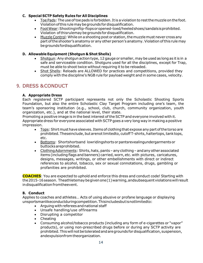#### **C. Special SCTP Safety Rules for All Disciplines**

- Toe Pads: The use of toe pads is forbidden. It is a violation to rest the muzzle on the foot. Violationofthis rulemaybegrounds fordisqualification.
- FootWear:Shootinginflip-flopsoropened-toed/heeledshoes/sandalsisprohibited. Violation ofthisrulemay begrounds fordisqualification.
- Muzzle Control: While on a shooting post or station, the muzzle must never cross any part oftheshooter's anatomy or any other person's anatomy. Violation ofthis rule may begroundsfordisqualification.

#### **D. Allowable Equipment (Shotgun & Shot Shells)**

- Shotgun: Any shotgun action type, 12 gauge or smaller, may be used as long as it is in a safe and serviceable condition. Shotguns used for all the disciplines, except for Trap, must be able to shoot twice without requiring it to be reloaded.
- Shot Shells: Reloads are ALLOWED for practices and competitions, provided they comply with the discipline's NGB rule for payload weight and in some cases, velocity.

# <span id="page-14-0"></span>9. DRESS &CONDUCT

#### **A. Appropriate Dress**

Each registered SCTP participant represents not only the Scholastic Shooting Sports Foundation, but also the entire Scholastic Clay Target Program including one's team, the team's sponsoring institution (e.g., school, club, church, community organization, youth organization, etc.), and at the national level, their state.

Promoting a positive image is in the best interest of the SCTP and everyone involved with it. Appropriate dress for everyone associated with SCTP goes a very long way in making a positive impression.

- Tops: Shirt must have sleeves. Items of clothing that expose any part of the torso are prohibited.Theseinclude, butarenotlimitedto, cutoffT-shirts,haltertops,tanktops, etc.
- Bottoms: Shortshortsand lowridingshorts orpantsrevealingundergarmentsor buttocksareprohibited.
- Clothing Adornments: Shirts, hats, pants any clothing and any other associated items (includingflags and banners) carried, worn, etc. with pictures, caricatures, designs, messages, writings, or other embellishments with direct or indirect references to alcohol, tobacco, sex or sexual connotations, drugs, gambling or profanities are prohibited.

**COACHES**: You are expected to uphold and enforce this dress and conduct code! Starting with the2015-16season. Theathletemaybegivenone(1)warning,andsubsequentviolationswill result indisqualification fromtheevent.

#### **B. Conduct**

Applies to coaches and athletes… Acts of using abusive or profane language or displaying unsportsmanlikeconductduringcompetition.Thisincludesbutisnotlimitedto:

- Arguing withreferees andnational staff
- Unsafe handling/use offirearms
- Disrupting a competitor
- Cheating
- Consuming alcohol/tobacco products (including any form of e-cigarettes or "vapor" products), or using non-prescribed drugs before or during any SCTP activity are prohibited. This will not be tolerated and are grounds for disqualification, suspension, andexpulsionfromtheorganization.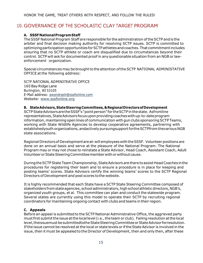# <span id="page-15-0"></span>10. GOVERNANCE OF THE SCHOLASTIC CLAY TARGET PROGRAM

#### **A. SSSFNationalProgramStaff**

TheSSSF National Program Staff areresponsible for the administration oftheSCTP and is the arbiter and final decision making authority for resolving SCTP issues. SCTP is committed to optimizing participation opportunities for SCTP athletes and coaches. That commitment includes ensuring that no SCTP athlete or coach are disqualified due to circumstances beyond their control. SCTP will ask for documented proof in anyquestionable situation from an NGB or lawenforcement organization.

Special circumstances may be brought to the attention of the SCTP NATIONAL ADMINISTATIVE OFFICE atthe following address:

SCTP NATIONAL ADMINISTRATIVE OFFICE 165 Bay Ridge Lane Burlington, WI 53105 E-Mail address: [awondrash@sssfonline.com](mailto:awondrash@sssfonline.com) Website: [www.sssfonline.org](http://www.sssfonline.org/)

#### **B. StateAdvisors,StateSteeringCommittees,&RegionalDirectorsofDevelopment**

SCTP State Advisors are the SSSF's "point person" for the SCTP in the state. Asfrontline representatives, State Advisors focus upon providing coaches with up-to-date program information, maintaining open lines of communication with gun clubs sponsoring SCTP Teams, working with State Wildlife Agencies to develop cooperative agreements, partnering with establishedyouth organizations, andactively pursuingsupport forthe SCTPfrom thevarious NGB state associations.

Regional Directorsof Developmentareat-will employees withtheSSSF. Volunteerpositions are done on an annual basis and serve at the pleasure of the National Program. The National Program may or may not chose to reinstate a State Advisor, Head Coach, Assistant Coach, Adult VolunteerorStateSteeringCommitteememberwithor without cause.

During the SCTP State Team Championship, State Advisors are there to assist Head Coaches in the procedures for registering their team and to ensure a procedure is in place for keeping and posting teams' scores. State Advisors certify the winning teams' scores to the SCTP Regional Directors of Development and post scores tothe website.

It is highly recommended that each State have a SCTP State Steering Committee composed of stakeholders from state agencies, school administrators, high school athletic directors, NGB's, organized youth groups, et al. This committee can plan and conduct the statewide program. Several states are currently using this model to operate their SCTP by recruiting regional coordinators for maintaining ongoing contact with clubs and teams in their region.

#### **C. Appeals**

Before an appeal is submitted to the SCTP National Administrative Office, the aggrieved party must first submit the issue at the local level (i.e., the team or club). Failing resolution at the local level,theissuemust besubmittedtotheStateSteeringCommitteeorStateAdvisor forresolution. If the issue cannot be resolved at the local or state levels or if the State Advisor is involved in the issue, then it must be appealed to the Director of Development, then and only then, after these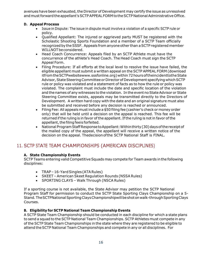avenues have been exhausted, the Director of Development may certify the issue as unresolved and must forward the appellant's SCTP APPEAL FORM to the SCTP National Administrative Office.

#### **D. Appeal Process**

- Issue in Dispute: The issue in dispute must involve a violation of a specific SCTP rule or policy.
- Qualified Appellant: The injured or aggrieved party MUST be registered with the Scholastic Shooting Sports Foundation and a member of a SCTP Team officially recognized by the SSSF. Appeals from anyone other than a SCTP registered member WILLNOTbeconsidered.
- Head Coach Concurrence: Appeals filed by an SCTP Athlete must have the concurrence of the athlete's Head Coach. The Head Coach must sign the SCTP Appeal Form.
- Filing Procedure: If all efforts at the local level to resolve the issue have failed, the eligible appellant must submit a written appeal on the SCTP APPEAL FORM (download itfrom the SCTPwebsitewww.sssfonline.org) within 72 hours of the incident to the State Advisor, State Steering Committee or Director of Development specifying which SCTP rule or policy was violated and a statement of facts as to how the rule or policy was violated. The complaint must include the date and specific location of the violation and the names of any witnesses to the violation. In the event no State Advisor or State Steering Committee exists, appeals may be transmitted directly to the Directors of Development. A written hard copy with the date and an original signature must also be submitted and received before any decision is reached or announced.
- Filing Fee: All appeals mustinclude a \$50 filing fee (cashier's check or money order only) that will be held until a decision on the appeal is reached. This fee will be returned if the ruling is in favor of the appellant. If the ruling is not in favor of the appellant, the filing feeis forfeited.
- National Program Staff Response to Appellant: Within thirty (30) days of the receipt of the mailed copy of the appeal, the appellant will receive a written notice of the decision on the appeal. Thedecisionofthe SCTP National Staff is FINAL.

# <span id="page-16-0"></span>11. SCTP STATE TEAM CHAMPIONSHIPS (AMERICAN DISCIPLINES)

#### **A. State Championship Events**

SCTP Teams entering valid Competitive Squads may compete for Team awards in the following disciplines:

- TRAP-16-Yard Singles (ATA Rules)
- SKEET American Skeet Regulation Rounds (NSSA Rules)
- SPORTING CLAYS Walk Through (NSCA Rules)

If a sporting course is not available, the State Advisor may petition the SCTP National Program Staff for permission to conduct the SCTP State Sporting Clays Championship on a 5- Stand. The SCTPNational Sporting Clays Championshipwill be shot on walk-through Sporting Clays Courses.

#### **B. Eligibility for SCTP National Team Championship Events**

A SCTP State Team Championship should be conducted in each discipline for which a state plans to send a squad to the SCTP National Team Championships. SCTP Athletes must compete in any of the SCTP State Team Championships in the state where they are registered to be eligible to attend theSCTP National Team Championships and compete in any or all disciplines. For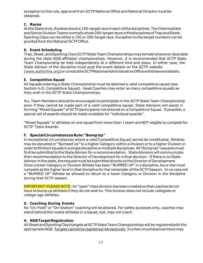exception to this rule, approval from SCTP National Office and National Director must be obtained.

#### **C. Races**

At the State level, Rookies shoot a 100-target race in each of the disciplines. The Intermediate and Senior Division Teams normally shoot 200-target races in thedisciplines of Trap and Skeet. Sporting Clays can be either a 100 or 200-target race. Exception to the target numbers can be granted from the National SCTP Office.

#### **D. Event Scheduling**

Trap,Skeet,andSportingClaysSCTPStateTeamChampionshipsmaybeheldwhenever desirable during the state NGB affiliates' championships. However, it is recommended that SCTP State Team Championship be held independently at a different time and place. In either case, the State Advisor of the discipline must post the event details on the SCTP website [\(www.sssfonline.org\)](http://www.sssfonline.org/)orcontacttheSCTPNationalAdministrativeOfficewiththeeventdetails.

#### **E. Competitive Squad**

All Squads entering a State Championship must be deemed a valid competitive squad (see Section 4-D, Competitive Squad). Head Coaches may enter as many competitive squads as they wish in the SCTP State Championships.

ALL Team Members should be encouraged to participate in the SCTP State Team Championship even if they cannot be made part of a valid competitive squad. State Advisors will assist in forming "Mixed Squads" of SCTP participants not entered on a Competitive Squad. If possible, a special set of awards should be made available for "individual awards".

"Mixed Squads" or athletes on one squad from more than 1 team are NOT eligible to compete for SCTP Team Awards.

#### **F. SpecialCircumstancesRule:"BumpUp"**

In exceptional circumstances where a valid Competitive Squad cannot be constituted, Athletes may be elevated or "Bumped Up" to a higher Category within a Division or to a higher Division in order tofillshort squadsinasingledisciplineormultipledisciplines.All "BumpUp" requestsmust first be submitted to the State Advisor for a recommendation. State Advisors will communicate their recommendation to the Director of Development for a final decision. If there is no State Advisor in the state, the request must be submitted directly to the Director of Development. Once a lower Category or Division Athlete has been "BUMPED UP" in a discipline, he or she must compete at the higher level in that discipline for the remainder of the SCTP Season. In no case will a "BUMPED UP" Athlete be allowed to return to a lower Category or Division in the discipline during that SCTP season.

IMPORTANT! PLEASE NOTE: An "open" class division has been created so that coaches do not have to bump up athletes if they do not wish to. This division does not include collegiate or college age athletes.

#### **G. Coaching During Events**

No "On-Field" or "On-Station" coaching will be allowed. For safety purposes only, coaches may stand behind the rookie athletes in a squad, but, may not coach.

#### **H. NGBTargetRegistration**

All Skeet and Sporting Clays targets at SCTP State Team Championships will be registeredwith the appropriate NGB. Targets cannot be registered retroactively. In a few circumstances there may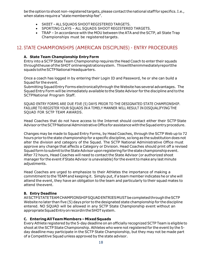be the option to shoot non-registered targets, please contact the national staff for specifics. I.e., when states require a "state membership fee".

- SKEET ALL SQUADS SHOOT REGISTERED TARGETS.
- SPORTING CLAYS ALL SQUADS SHOOT REGISTERED TARGETS.
- TRAP In accordance with the MOU between the ATA and the SCTP, all State Trap Championships must be registered targets.

# <span id="page-18-0"></span>12. STATE CHAMPIONSHIPS (AMERICAN DISCIPLINES) - ENTRY PROCEDURES

#### **A. State Team Championship Entry Form**

Entry into a SCTP State Team Championship requires the Head Coach to enter their squads throughtheuse oftheSHOT onlineregistrationsystem. Thiswillthenimmediatelyreportthe squads tothe SCTP National Headquarters.

Once a coach has logged in by entering their Login ID and Password, he or she can build a Squad for the event.

Submitting SquadEntry Forms electronicallythrough the Website has several advantages. The Squad Entry Form will be immediately available tothe State Advisor for the discipline and tothe SCTPNational Program Staff.

SQUAD ENTRY FORMS ARE DUE FIVE (5) DAYS PRIOR TO THE DESIGNATED STATE CHAMPIONSHIP. FAILURE TO REGISTER YOUR SQUADS IN A TIMELY MANNER WILL RESULT IN DISQUALIFYING THE SQUAD FOR SCTP TEAM AWARDS.

Head Coaches that do not have access to the Internet should contact either their SCTP State Advisor or the SCTP National Administrative Office for assistance with the Squad entry procedure.

Changes may be made to Squad Entry Forms, by Head Coaches, through the SCTP Web up to 72 hours prior to the state championship for a specific discipline, so longas the substitution does not alter the division and category of the Squad. The SCTP National Administrative Office must approve any change that affects a Category or Division. Head Coaches should print off a revised Squadform tosubmittotheStateAdvisoruponregisteringfor thestatechampionshipevent. After 72 hours, Head Coaches will need to contact the State Advisor (or authorized shoot manager for the event if State Advisor is unavailable) for the event to make any last minute adjustments.

Head Coaches are urged to emphasize to their Athletes the importance of making a commitment to the TEAM and keeping it. Simply put, if a team member indicates he or she will attend the event, they have an obligation to the team and particularly to their squad mates to attend theevent.

#### **B. Entry Deadline**

AllSCTPSTATETEAMCHAMPIONSHIPSQUADENTRIESMUSTbecompletedthroughtheSCTP Website no later than five (5) days prior to the designated state championship for the discipline entered. NO SQUAD will be allowed in any SCTP State Championship event without an appropriate Squad Entry on recordin the SHOT system.

#### **C. EnteringAllTeamMembers –MixedSquads**

EveryAthlete registered by the 5-day deadline on an officially recognized SCTP Team is eligible to shoot at the SCTP State Championship. Athletes who were not registered for the event by the 5day deadline may participate in the SCTP State Championship, but they may not be made part of a Competitive Squad unless approved by the state advisor.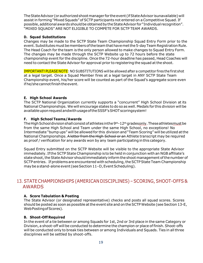TheStateAdvisor (orauthorizedshootmanager for theevent (ifStateAdvisor isunavailable) will assist in forming "Mixed Squads" of SCTP participants not entered on a Competitive Squad. If possible, additional awards should be obtained by the State Advisor for "Individual recognition". "MIXED SQUADS" ARE NOT ELIGIBLE TO COMPETE FOR SCTP TEAM AWARDS.

#### **D. Squad Substitutions**

Changes may be made to the SCTP State Team Championship Squad Entry Form prior to the event. Substitutes must be members of the team that have met the 5-day Team Registration Rule. The Head Coach for the team is the only person allowed to make changes to Squad Entry Form. The changes may be made through the SCTP Website up to 72 hours before the state championship event for the discipline. Once the 72-hour deadline has passed, Head Coaches will need to contact the State Advisor for approval prior to registering the squad at the shoot.

IMPORTANT! PLEASE NOTE: NO SUBSTITUTIONS will be allowed after a competitor fires the first shot at a legal target. Once a Squad Member fires at a legal target in ANY SCTP State Team Championship event, his/her score will be counted as part of the Squad's aggregate score even if he/she cannot finish the event.

#### **E. High School Awards**

The SCTP National Organization currently supports a "concurrent" High School Division at its National Championships. We will encourage states to do so as well. Medals for this division will be availableuponrequestandwithusageoftheSSSF'sSHOTscoringsystem!

#### **F. High School Teams/Awards**

The High School division shall consist of athletes in the  $9<sup>th</sup> - 12<sup>th</sup>$  gradesonly. These athletesmust be from the same High School and Team under the same High School, no exceptions! No Intermediate "bump ups" will be allowed for this division and "Team Scoring" will be utilized at the National Championships. A letter from the High School or an Athlete transcript may be required as proof / verification for any awards won by any team participating inthis category.

Squad Entry submitted on the SCTP Website will be visible to the appropriate State Advisor immediately. Ifthe SCTP State Championship is to be held in conjunction with an NGB affiliate's state shoot, the State Advisor should immediately inform the shoot management of the number of SCTP entries. If problems are encountered with scheduling, the SCTP State Team Championship may be a stand-alone event (see Section 11-D, Event Scheduling).

## <span id="page-19-0"></span>13. STATECHAMPIONSHIPS(AMERICAN DISCIPLINES)–SCORING, SHOOT-OFFS & AWARDS

#### **A. Score Tabulation & Posting**

The State Advisor (or designated representative) checks and posts all squad scores. Scores should be posted as soon as possible at the event site and on the SCTP Website (see Section 13-E, WebPostingofScores).

#### **B. Shoot-Off Required**

In the event of a tie between or among Squads for 1st, 2nd or 3rd place in the same Category or Division, a shoot-off will be conducted to determine the champion or place of finish. Shoot-offs will be conducted only to break ties between or among Individuals and Squads. Ties in all three disciplines will be settled by shoot-offs.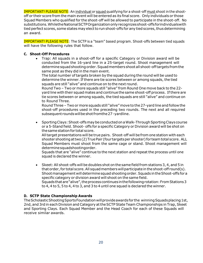IMPORTANT! PLEASE NOTE: An individual or squad qualifying for a shoot-off must shoot in the shootoff or their score from the main event will be entered as its final score. Only individuals or those Squad Members who qualified for the shoot-off will be allowed to participate in the shoot-off. No substitutions.WhiletheNationalSCTPOrganizationonlyrecognizesshoot-offsforindividualswith tied perfect scores, some states may elect to run shoot-offs for any tied scores, thus determining an award.

IMPORTANT! PLEASE NOTE: The SCTP is a "team" based program. Shoot-offs between tied squads will have the following rules that follow.

#### **C. Shoot-Off Procedures**

• Trap: All squads in a shoot-off for a specific Category or Division award will be conducted from the 16-yard line in a 25-target round. Shoot management will determine squad shooting order. Squad members shoot all shoot-off targets from the same post as they did in the main event.

The total number oftargets broken by the squad during the round will be used to determine the winner. If there are tie scores between or among squads, the tied squads are still "alive" and continue on to the next round.

Round Two – Two or more squads still "alive" from Round One move back to the 22 yard line with their squad mates and continue the same shoot-off process. Ifthere are tie scores between or among squads, the tied squads are still "alive" and continue on to Round Three.

Round Three – Two or more squads still "alive"move to the27-yard line and follow the shoot-off procedures used in the preceding two rounds. The next and all required subsequent roundswillbeshotfromthe27-yardline.

• Sporting Clays: Shoot-offs may be conducted on a Walk-Through Sporting Clays course or a 5-Stand field. Shoot- offs for a specific Category or Division award will be shot on the same station for total score.

Alltarget presentations will be true pairs. Shoot-off will befrom one station with each shooter shooting at two (2) True Pair (four targets per shooter) for team total score. ALL Squad Members must shoot from the same cage or stand. Shoot management will determinesquadshootingorder.

Squads that are "alive" continue to the next station and repeat the process until one squad is declared the winner.

• Skeet: All shoot-offs will be doubles shot on the same field from stations 3, 4, and 5 in that order, for total score. All squad members will participate in the shoot-off round(s). Shootmanagement willdeterminesquadshootingorder.Squads intheShoot-offs for a specific category or division award will shoot on the same field. Squads that are "alive", the process continues in the following rotation: From Stations 3 to 4, 4 to 5, 5 to 4, 4 to 3, and 3 to 4 until one squad is declared the winner.

#### **D. SCTP State Championship Awards**

The Scholastic Shooting Sports Foundation will provide awards for the winning Squads placing 1st, 2nd, and 3rd in each Division and Category at the SCTP State Team Championships in Trap, Skeet and Sporting Clays. Each Squad Member and the Head Coach for each of these Squads will receive similar awards.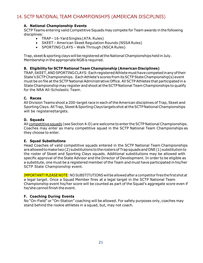## <span id="page-21-0"></span>14. SCTP NATIONAL TEAM CHAMPIONSHIPS (AMERICAN DISCIPLINES)

#### **A. National Championship Events**

SCTP Teams entering valid Competitive Squads may compete for Team awards in the following disciplines:

- TRAP-16-Yard Singles (ATA. Rules)
- SKEET American Skeet Regulation Rounds (NSSA Rules)
- SPORTING CLAYS Walk Through (NSCA Rules)

Trap, skeet & sporting clays will be registered at the National Championships held in July. Membership in the appropriate NGBis required.

#### **B. Eligibility for SCTP National Team Championship (American Disciplines)**

TRAP,SKEET,ANDSPORTINGCLAYS:EachregisteredAthletemusthavecompetedinanyoftheir State's SCTP Championships. Each Athlete's scores from its SCTP State Championship(s) event must be on file attheSCTP National Administrative Office.All SCTPAthletes that participated in a State Championship may register and shoot at the SCTP National Team Championships to qualify for the NRA All-Scholastic Team.

#### **C. Races**

All Division Teams shoot a 200-target race in each of the American disciplines of Trap, Skeet and Sporting Clays. All Trap, Skeet & Sporting Clays targets shot at the SCTP National Championships will be registeredtargets.

#### **D. Squads**

All competitive squads (see Section 4-D) are welcome to enter the SCTP National Championships. Coaches may enter as many competitive squad in the SCTP National Team Championships as they choose to enter.

#### **E. Squad Substitutions**

Head Coaches of valid competitive squads entered in the SCTP National Team Championships are allowed to make two (2) substitutions to the rosters of Trap squads and ONE (1) substitution to the roster of Skeet and Sporting Clays squads. Additional substitutions may be allowed with specific approval of the State Advisor and the Director of Development. In order to be eligible as a substitute, one must be a registered member of the Team and must have participated in his/her SCTP State Championship event.

IMPORTANT! PLEASE NOTE: NO SUBSTITUTIONS will be allowed after a competitor fires the first shot at a legal target. Once a Squad Member fires at a legal target in the SCTP National Team Championship event his/her score will be counted as part of the Squad's aggregate score even if he/she cannot finish the event.

#### **F. Coaching During Events**

No "On-Field" or "On-Station" coaching will be allowed. For safety purposes only, coaches may stand behind the rookie athletes in a squad, but, may not coach.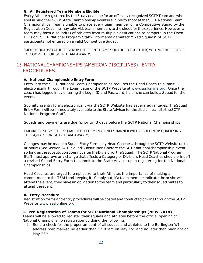#### **G. All Registered Team Members Eligible**

Every Athlete registered by the 5-day deadline for an officially recognized SCTP Team and who shot in his or her SCTP State Championship event is eligible to shoot at the SCTP National Team Championships. Teams unable to place every team member on a Competitive Squad by the Registration Deadline may take ALL team members to the shoot for the experience. However, a team may form a squad(s) of athletes from multiple classifications to compete in the Open Division. SCTP National Program Staffwillformamalgamated"Mixed Squads" of SCTP participants not entered on a valid Competitive Squad.

"MIXED SQUADS" (ATHLETES FROM DIFFERENT TEAMS SQUADDED TOGETHER) WILL NOT BE ELIGIBLE TO COMPETE FOR SCTP TEAM AWARDS.

## <span id="page-22-0"></span>15. NATIONALCHAMPIONSHIPS(AMERICAN DISCIPLINES)–ENTRY PROCEDURES

#### **A. National Championship Entry Form**

Entry into the SCTP National Team Championships requires the Head Coach to submit electronically through the Login page of the SCTP Website at [www.sssfonline.org.](http://www.sssfonline.org/) Once the coach has logged in by entering the Login ID and Password, he or she can build a Squad for the event.

Submittingentryformselectronicallyvia theSCTP Website has several advantages. TheSquad Entry Form will be immediately available to the State Advisor for the discipline and to the SCTP National Program Staff.

Squads and payments are due (prior to) 3 days before the SCTP National Championships.

FAILURE TO SUBMIT THE SQUAD ENTRY FORM IN A TIMELY MANNER WILL RESULT IN DISQUALIFYING THE SQUAD FOR SCTP TEAM AWARDS.

Changes may be made to Squad Entry Forms, by Head Coaches, through the SCTP Website up to 48hours (SeeSection 14-E,SquadSubstitutions)before the SCTP national championship event, so long as the substitution does not alter the Division of the Squad. The SCTP National Program Staff must approve any change that affects a Category or Division. Head Coaches should print off a revised Squad Entry Form to submit to the State Advisor upon registering for the National Championships.

Head Coaches are urged to emphasize to their Athletes the importance of making a commitment to the TEAM and keeping it. Simply put, if a team member indicates he or she will attend the event, they have an obligation to the team and particularly to their squad mates to attend theevent.

#### **B. Entry Procedure**

Registration forms and entry procedures will be posted and conducted on-line through the SCTP Website [www.sssfonline.org.](http://www.sssfonline.org./)

#### **C. Pre-Registration of Teams for SCTP National Championships (NEW-2018)**

Teams will be allowed to register their squads and athletes before the official opening of National Championship registration by doing the following:

1. Send a check for the proper amount of all squads and athletes to the Burlington WI address post marked no earlier than 12:01am on May 15<sup>th</sup> and no later than midnight on May 25<sup>th</sup>.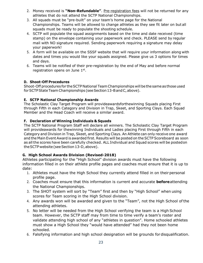- 2. Money received is **"Non-Refundable"**. Pre-registration fees will not be returned for any athletes that do not attend the SCTP National Championships.
- 3. All squads must be "pre-built" on your team's home page for the National Championships. Teams will be allowed to change athletes as they see fit later on but all squads must be ready to populate the shooting schedule.
- 4. SCTP will populate the squad assignments based on the time and date received (time stamp) on the envelope containing your paperwork and check. PLEASE send by regular mail with NO signature required. Sending paperwork requiring a signature may delay your paperwork!
- 5. A form will be available on the SSSF website that will require your information along with dates and times you would like your squads assigned. Please give us 3 options for times and days.
- 6. Teams will be notified of their pre-registration by the end of May and before normal registration opens on June  $1<sup>st</sup>$ .

#### **D. Shoot-Off Procedures**

Shoot-Off procedures for theSCTPNational TeamChampionships will be the sameas those used for SCTP State Team Championships (see Section 13-B and C, above).

#### **E. SCTP National Championship Awards**

The Scholastic Clay Target Program will provideawardsforthewinning Squads placing First through Fifth in each Category and Division in Trap, Skeet, and Sporting Clays. Each Squad Member and the Head Coach will receive a similar award.

#### **F. Declaration of Winning Individuals & Squads**

The SCTP National Program Staff will declare all winners. The Scholastic Clay Target Program will provideawards for thewinning Individuals and Ladies placing First through Fifth in each Category and Division in Trap, Skeet, and Sporting Clays. An Athlete can only receive one award and the Main Event Award is awarded first. Results will be posted on theSCTP Scoreboard as soon as all the scores have been carefully checked. ALL Individual and Squad scores will be postedon the SCTP website (see Section 13-D, above).

#### **G. High School Awards Division (Revised-2018)**

Athletes participating for the "High School" division awards must have the following information filled in on their athlete profile pages and coaches must ensure that it is up to date:

- 1. Athletes must have the High School they currently attend filled in on their personal profile page.
- 2. Coaches must ensure that this information is current and accurate **before**attending the National Championships.
- 3. The SHOT system will sort by "Team" first and then by "High School" when using scores for Team scoring in the High School division.
- 4. Any awards won will be awarded and given to the "Team", not the High School ofthe attending athletes.
- 5. No letter will be needed from the High School verifying the team is a High School team. However, the SCTP staff may from time to time verify a team's roster and validate attending high school of any "athletes in question". Home schooled athletes must show a High School they "would have attended" had they not been home schooled.
- 6. Falsifying information and high school designation will be grounds for disqualification.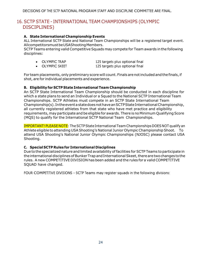# <span id="page-24-0"></span>16. SCTP STATE - INTERNATIONAL TEAM CHAMPIONSHIPS (OLYMPIC DISCIPLINES)

#### **A. State International Championship Events**

ALL International SCTP State and National Team Championships will be a registered target event. AllcompetitorsmustbeUSAShootingMembers.

SCTP Teams entering valid Competitive Squads may compete for Team awards in the following disciplines:

- OLYMPIC TRAP 125 targets plus optional final
- OLYMPIC SKEET 125 targets plus optional final

For team placements, only preliminary score will count. Finals are not included and the finals, if shot, are for individual placements and experience.

#### **B. Eligibility for SCTP StateInternationalTeam Championship**

An SCTP State International Team Championship should be conducted in each discipline for which a state plans to send an Individual or a Squad to the National SCTP International Team Championships. SCTP Athletes must compete in an SCTP State International Team Championship(s). IntheeventastatedoesnothaveanSCTPStateInternationalChampionship, all currently registered athletes from that state who have met practice and eligibility requirements, may participate and be eligible for awards. There is no Minimum Qualifying Score (MQS) to qualify for the International SCTP National Team Championships.

IMPORTANT! PLEASE NOTE: The SCTP State International Team Championships DOES NOT qualify an Athlete eligible to attending USAShooting's National Junior OlympicChampionshipShoot. To attend USA Shooting's National Junior Olympic Championships (NJOSC) please contact USA Shooting.

#### **C. Special SCTP Rules for International Disciplines**

Due to thespecializednature and limited availability of facilities for SCTP Teams toparticipate in the international disciplines of Bunker Trap and International Skeet, there are two changes to the rules. A new COMPETITIVE DIVISION has been added and the rules for a valid COMPETITIVE SQUAD have changed.

FOUR COMPETITIVE DIVISIONS – SCTP Teams may register squads in the following divisions: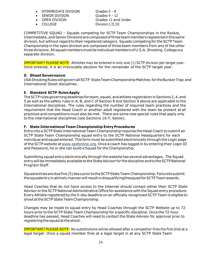- INTERMEDIATE DIVISION Grades 5 8
- SENIOR DIVISION Grades 9 12
- 
- 

• OPEN DIVISION Grades 12 and Under • COLLEGE Division I, II, III

COMPETITIVE SQUAD – Squads competing for SCTP Team Championships in the Rookie, Intermediate,and SeniorDivisionsarecomposedofthreeteammembers registeredinthesame division, but without regard to their registered category. Squads competing for the SCTP Team Championship in the open division are composed of three team members from any of the other three divisions. All squad members must be individual members of U.S.A. Shooting. College is a separate division.

IMPORTANT! PLEASE NOTE: Athletes may be entered in only one (1) SCTP division per target year. Once entered, it is an irrevocable decision for the remainder of the SCTP target year.

#### **D. Shoot Governance**

USAShootingRuleswillgovernallSCTP StateTeamChampionshipMatches for theBunkerTrap and International Skeet disciplines.

#### **E. Standard SCTP RulesApply**

The SCTP rules governing deadlines for team, squad, and athlete registration in Sections 2, 4, and 5 as well as the safety rules in A, B, and C of Section 8 and Section 9 above are applicable to the International disciplines. The rules regarding the number of required team practices and the requirement that the Head Coach or another adult registered with the team be present at all practices and competitions must also be met. There are some new special rules that apply only to the international disciplines (see Sections 16-F, below).

#### **F. State International Team Championship Entry Procedures**

Entryinto a SCTPState International Team Championship requires the Head Coach to submit an SCTP State Team Championship squad entry to the SCTP National Headquarters for each individual and squad entered. This form must be submitted electronically through the Login page of the SCTP website at [www.sssfonline.org.](http://www.sssfonline.org./) Once a coach has logged in by entering their Login ID and Password, he or she can build a Squad for the Championship.

Submitting squad entry electronically through the website has several advantages. The Squad entry will be immediately available to the State Advisor for the discipline and to the SCTP National Program Staff.

Squad entries are due five (5) days prior to the SCTP State Team Championship. Failureto submit thesquadentry inatimely mannerwill resultindisqualifyingthesquad forSCTPTeamawards.

Head Coaches that do not have access to the Internet should contact either their SCTP State Advisor or the SCTP National Administrative Office for assistance with the Squad entry procedure. Every Athlete registered by the 5-day deadline on an officially recognized SCTP Team is eligible to shootattheSCTPStateTeamChampionship.

Changes may be made to squad entry by Head Coaches through the SCTP Website up to 72 hours prior to the SCTP State Team Championship for a specific discipline. Once the 72-hour deadline has passed, Head Coaches will need to contact the State Advisor for approval prior to registering the squad at the shoot.

IMPORTANT! PLEASE NOTE: No substitutions will be allowed after a competitor fires the first shot at a legal target. Once a squad member fires at a legal target in at any SCTP State Team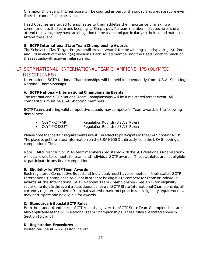Championship event, his/her score will be counted as part of the squad's aggregate score even if he/she cannot finish the event.

Head Coaches are urged to emphasize to their athletes the importance of making a commitment to the team and keeping it. Simply put, if a team member indicates he or she will attend the event, they have an obligation to the team and particularly to their squad mates to attend theevent.

#### **G. SCTP International State Team Championship Awards**

The Scholastic Clay Target Program will provide awards for the winning squads placing 1st, 2nd, and 3rd in each of the four (4) divisions. Each squad member and the Head Coach for each of thesesquadswill receivesimilarawards.

## <span id="page-26-0"></span>17. SCTP NATIONAL - INTERNATIONAL TEAM CHAMPIONSHIPS (OLYMPIC DISCIPLINES)

International SCTP National Championships will be held independently from U.S.A. Shooting's National Championships.

#### **A. SCTP National - International Championship Events**

The International SCTP National Team Championships will be a registered target event. All competitors must be USA Shooting members.

SCTP Teams entering valid competitive squads may compete for Team awards in the following disciplines:

| <b>OLYMPIC TRAP</b> |                                    |  |
|---------------------|------------------------------------|--|
|                     | Regulation Rounds (U.S.A.S. Rules) |  |

• OLYMPIC SKEET Requiation Rounds (U.S.A.S. Rules)

Please note that certain requirements are still in effect to participate in the USA Shooting NOJSC. The place to get the latest information on the USA NJOSC is directly from the USA Shooting's competition office.

Note.... All current Junior USAS team members (registered with the SCTP National Organization) will be allowed to compete for team and individual SCTP awards. These athletes are not eligible to participate in any finals competition.

#### **B. Eligibilityfor SCTP Team Awards**

Each registered Competitive Squad and Individual, must have competed in their state's SCTP International Championships event in order to be eligible to compete for Team or Individual awards at the International SCTP National Team Championship (See 16 B for eligibility requirements). In the event a state does not have an SCTP State International Championship, all currently registered athletes from that state who have met practice and eligibility requirements, may participate and be eligible for awards.

#### **C. Standards & Special SCTP Rules**

Both the standard and special SCTP rules that govern the SCTP State Team Championships are also applicable atthe SCTP National Team Championships. These rules are stated above in Section 16 E and F.

#### **D. Registration Procedures**

Posted on-line at [www.sssfonline.org.](http://www.sssfonline.org./)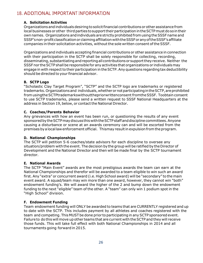# <span id="page-27-0"></span>18. ADDITIONAL IMPORTANT INFORMATION

#### **A. Solicitation Activities**

Organizations and individuals desiring to solicit financial contributions or other assistance from local businesses or other third parties to support their participation in the SCTP must do so in their own names. Organizations andindividuals arestrictlyprohibitedfromusingtheSSSFname and SSSF'snon-profitclassificationorclaimingaffiliation withtheSSSForanyoftheSSSF'saffiliate companies in their solicitation activities, without the sole written consent of the SSSF.

Organizations and individuals accepting financial contributions or other assistance in connection with their participation in the SCTP shall be solely responsible for collecting, recording, disseminating, substantiating and reporting all contributions or support they receive. Neither the SSSFnor theSCTPshall be responsible for any activities that organizations or individualsmay engage in with respect to their participation in the SCTP. Any questions regarding tax deductibility should be directed to your financial advisor.

#### **B. SCTP Logo**

"Scholastic Clay Target Program", "SCTP" and the SCTP logo are trademarks or registered trademarks. Organizations and individuals, whether or not participating in the SCTP, are prohibited fromusingtheSCTPtrademarkswithoutthepriorwrittenconsent fromtheSSSF. Toobtain consent to use SCTP trademarks, please send a written request to SSSF National Headquarters at the address in Section 19, below, or contact the National Director.

#### **C. Coaches/Parents Behavior**

Any grievances with how an event has been run, or questioning the results of any event sponsored by the SCTP may discuss this with the SCTP staff and discipline committees. Anyone causing a disturbance or scene at an awards ceremony can and will be escorted from the premises by a local law enforcement official. Thismay result in expulsion from the program.

#### **D. National Championships**

The SCTP will petition 5-6 coaches/state advisors for each discipline to oversee any situation/problem with the event. The decision by the group will be ratified by the Director of Development and the National Director and then will be made final by the SCTP tournament director.

#### **E. National Awards**

The SCTP "Main Event" awards are the most prestigious awards the team can earn at the National Championships and therefor will be awarded to a team eligible to win such an award first. Any "extra" or concurrent award (i.e. High School award) will be "secondary" to the main event award. A squad/team may win more than one award, however, they cannot win "both" endowment funding's. We will award the higher of the 2 and bump down the endowment funding to the next "eligible" team of the other. A "team" can only win 1 podium spot in the "High School" division.

#### **F. Endowment Funding**

Team endowment funding will ONLY be awarded to teams that are CURRENTLY registered and up to date with the SCTP. This includes payment by all athletes and coaches registered with the team and competing. This MUST be done prior to participating in any SCTP sponsored event. Failure to do this will move up other teams that are current with theSCTP and they will receive those funds. This will take full effect with both National Championships in 2014 and all tournaments going forward in 2015.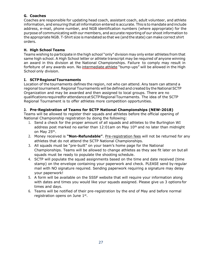#### **G. Coaches**

Coaches are responsible for updating head coach, assistant coach, adult volunteer, and athlete information, and ensuring that all information entered is accurate. This is to mandate and include address, e-mail, phone number, and NGB identification numbers (where appropriate) for the purpose of communicating with our members, and accurate reporting of our shoot information to the appropriate NGB. T-Shirt size is mandated so that we (and the state) can make correct shirt orders.

#### **H. High School Teams**

Teams wishing to participate in the high school "only" division may only enter athletes from that same high school. A High School letter or athlete transcript may be required of anyone winning an award in this division at the National Championships. Failure to comply may result in forfeiture of any awards won. No intermediate athlete "bump-ups" will be allowed in the High School only division.

#### **I. SCTPRegionalTournaments**

Location of the tournaments defines the region, not who can attend. Any team can attend a regional tournament. Regional Tournaments will be defined and created by the National SCTP Organization and may be awarded and then assigned to local groups. There are no qualifications requiredforattendanceatSCTPRegionalTournaments. The idea of the SCTP Regional Tournament is to offer athletes more competition opportunities.

#### **J. Pre-Registration of Teams for SCTP National Championships (NEW-2018)**

Teams will be allowed to register their squads and athletes before the official opening of National Championship registration by doing the following:

- 1. Send a check for the proper amount of all squads and athletes to the Burlington WI address post marked no earlier than  $12:01$ am on May  $10<sup>th</sup>$  and no later than midnight on May 25<sup>th</sup>.
- 2. Money received is **"Non-Refundable"**. Pre-registration fees will not be returned for any athletes that do not attend the SCTP National Championships.
- 3. All squads must be "pre-built" on your team's home page for the National Championships. Teams will be allowed to change athletes as they see fit later on but all squads must be ready to populate the shooting schedule.
- 4. SCTP will populate the squad assignments based on the time and date received (time stamp) on the envelope containing your paperwork and check. PLEASE send by regular mail with NO signature required. Sending paperwork requiring a signature may delay your paperwork!
- 5. A form will be available on the SSSF website that will require your information along with dates and times you would like your squads assigned. Please give us 3 options for times and days.
- 6. Teams will be notified of their pre-registration by the end of May and before normal registration opens on June  $1<sup>st</sup>$ .